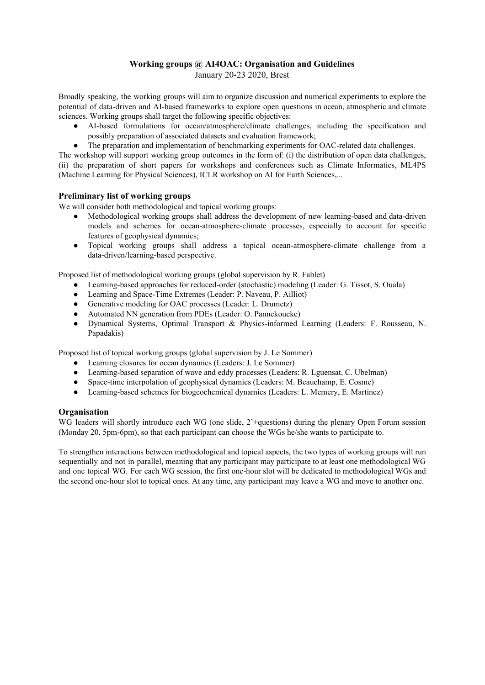# **Working groups @ AI4OAC: Organisation and Guidelines**

January 20-23 2020, Brest

Broadly speaking, the working groups will aim to organize discussion and numerical experiments to explore the potential of data-driven and AI-based frameworks to explore open questions in ocean, atmospheric and climate sciences. Working groups shall target the following specific objectives:

- AI-based formulations for ocean/atmosphere/climate challenges, including the specification and possibly preparation of associated datasets and evaluation framework;
- The preparation and implementation of benchmarking experiments for OAC-related data challenges.

The workshop will support working group outcomes in the form of: (i) the distribution of open data challenges, (ii) the preparation of short papers for workshops and conferences such as Climate Informatics, ML4PS (Machine Learning for Physical Sciences), ICLR workshop on AI for Earth Sciences,...

# **Preliminary list of working groups**

We will consider both methodological and topical working groups:

- Methodological working groups shall address the development of new learning-based and data-driven models and schemes for ocean-atmosphere-climate processes, especially to account for specific features of geophysical dynamics;
- Topical working groups shall address a topical ocean-atmosphere-climate challenge from a data-driven/learning-based perspective.

Proposed list of methodological working groups (global supervision by R. Fablet)

- Learning-based approaches for reduced-order (stochastic) modeling (Leader: G. Tissot, S. Ouala)
- Learning and Space-Time Extremes (Leader: P. Naveau, P. Ailliot)
- Generative modeling for OAC processes (Leader: L. Drumetz)
- Automated NN generation from PDEs (Leader: O. Pannekoucke)
- Dynamical Systems, Optimal Transport & Physics-informed Learning (Leaders: F. Rousseau, N. Papadakis)

Proposed list of topical working groups (global supervision by J. Le Sommer)

- Learning closures for ocean dynamics (Leaders: J. Le Sommer)
- Learning-based separation of wave and eddy processes (Leaders: R. Lguensat, C. Ubelman)
- Space-time interpolation of geophysical dynamics (Leaders: M. Beauchamp, E. Cosme)
- Learning-based schemes for biogeochemical dynamics (Leaders: L. Memery, E. Martinez)

# **Organisation**

WG leaders will shortly introduce each WG (one slide,  $2^+$ questions) during the plenary Open Forum session (Monday 20, 5pm-6pm), so that each participant can choose the WGs he/she wants to participate to.

To strengthen interactions between methodological and topical aspects, the two types of working groups will run sequentially and not in parallel, meaning that any participant may participate to at least one methodological WG and one topical WG. For each WG session, the first one-hour slot will be dedicated to methodological WGs and the second one-hour slot to topical ones. At any time, any participant may leave a WG and move to another one.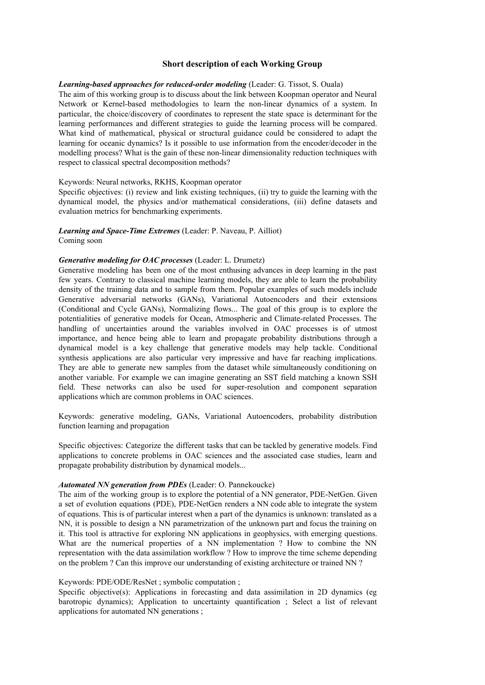## **Short description of each Working Group**

#### *Learning-based approaches for reduced-order modeling* (Leader: G. Tissot, S. Ouala)

The aim of this working group is to discuss about the link between Koopman operator and Neural Network or Kernel-based methodologies to learn the non-linear dynamics of a system. In particular, the choice/discovery of coordinates to represent the state space is determinant for the learning performances and different strategies to guide the learning process will be compared. What kind of mathematical, physical or structural guidance could be considered to adapt the learning for oceanic dynamics? Is it possible to use information from the encoder/decoder in the modelling process? What is the gain of these non-linear dimensionality reduction techniques with respect to classical spectral decomposition methods?

#### Keywords: Neural networks, RKHS, Koopman operator

Specific objectives: (i) review and link existing techniques, (ii) try to guide the learning with the dynamical model, the physics and/or mathematical considerations, (iii) define datasets and evaluation metrics for benchmarking experiments.

#### *Learning and Space-Time Extremes* (Leader: P. Naveau, P. Ailliot) Coming soon

# *Generative modeling for OAC processes* (Leader: L. Drumetz)

Generative modeling has been one of the most enthusing advances in deep learning in the past few years. Contrary to classical machine learning models, they are able to learn the probability density of the training data and to sample from them. Popular examples of such models include Generative adversarial networks (GANs), Variational Autoencoders and their extensions (Conditional and Cycle GANs), Normalizing flows... The goal of this group is to explore the potentialities of generative models for Ocean, Atmospheric and Climate-related Processes. The handling of uncertainties around the variables involved in OAC processes is of utmost importance, and hence being able to learn and propagate probability distributions through a dynamical model is a key challenge that generative models may help tackle. Conditional synthesis applications are also particular very impressive and have far reaching implications. They are able to generate new samples from the dataset while simultaneously conditioning on another variable. For example we can imagine generating an SST field matching a known SSH field. These networks can also be used for super-resolution and component separation applications which are common problems in OAC sciences.

Keywords: generative modeling, GANs, Variational Autoencoders, probability distribution function learning and propagation

Specific objectives: Categorize the different tasks that can be tackled by generative models. Find applications to concrete problems in OAC sciences and the associated case studies, learn and propagate probability distribution by dynamical models...

## *Automated NN generation from PDEs* (Leader: O. Pannekoucke)

The aim of the working group is to explore the potential of a NN generator, PDE-NetGen. Given a set of evolution equations (PDE), PDE-NetGen renders a NN code able to integrate the system of equations. This is of particular interest when a part of the dynamics is unknown: translated as a NN, it is possible to design a NN parametrization of the unknown part and focus the training on it. This tool is attractive for exploring NN applications in geophysics, with emerging questions. What are the numerical properties of a NN implementation ? How to combine the NN representation with the data assimilation workflow ? How to improve the time scheme depending on the problem ? Can this improve our understanding of existing architecture or trained NN ?

### Keywords: PDE/ODE/ResNet ; symbolic computation ;

Specific objective(s): Applications in forecasting and data assimilation in 2D dynamics (eg barotropic dynamics); Application to uncertainty quantification ; Select a list of relevant applications for automated NN generations ;